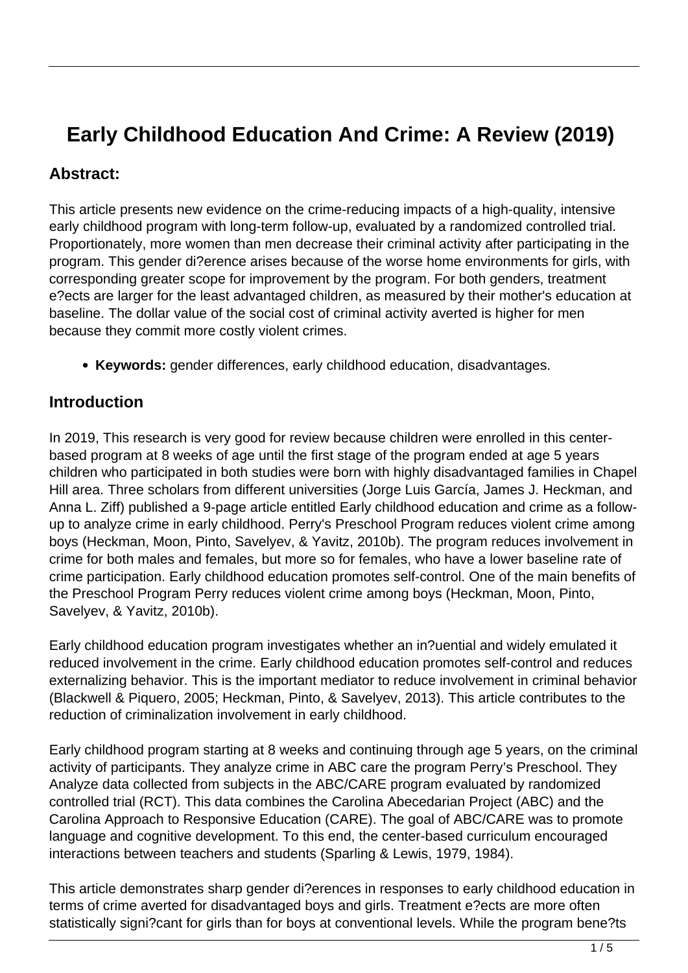# **Early Childhood Education And Crime: A Review (2019)**

#### **Abstract:**

This article presents new evidence on the crime-reducing impacts of a high-quality, intensive early childhood program with long-term follow-up, evaluated by a randomized controlled trial. Proportionately, more women than men decrease their criminal activity after participating in the program. This gender di?erence arises because of the worse home environments for girls, with corresponding greater scope for improvement by the program. For both genders, treatment e?ects are larger for the least advantaged children, as measured by their mother's education at baseline. The dollar value of the social cost of criminal activity averted is higher for men because they commit more costly violent crimes.

**Keywords:** gender differences, early childhood education, disadvantages.

#### **Introduction**

In 2019, This research is very good for review because children were enrolled in this centerbased program at 8 weeks of age until the first stage of the program ended at age 5 years children who participated in both studies were born with highly disadvantaged families in Chapel Hill area. Three scholars from different universities (Jorge Luis García, James J. Heckman, and Anna L. Ziff) published a 9-page article entitled Early childhood education and crime as a followup to analyze crime in early childhood. Perry's Preschool Program reduces violent crime among boys (Heckman, Moon, Pinto, Savelyev, & Yavitz, 2010b). The program reduces involvement in crime for both males and females, but more so for females, who have a lower baseline rate of crime participation. Early childhood education promotes self-control. One of the main benefits of the Preschool Program Perry reduces violent crime among boys (Heckman, Moon, Pinto, Savelyev, & Yavitz, 2010b).

Early childhood education program investigates whether an in?uential and widely emulated it reduced involvement in the crime. Early childhood education promotes self-control and reduces externalizing behavior. This is the important mediator to reduce involvement in criminal behavior (Blackwell & Piquero, 2005; Heckman, Pinto, & Savelyev, 2013). This article contributes to the reduction of criminalization involvement in early childhood.

Early childhood program starting at 8 weeks and continuing through age 5 years, on the criminal activity of participants. They analyze crime in ABC care the program Perry's Preschool. They Analyze data collected from subjects in the ABC/CARE program evaluated by randomized controlled trial (RCT). This data combines the Carolina Abecedarian Project (ABC) and the Carolina Approach to Responsive Education (CARE). The goal of ABC/CARE was to promote language and cognitive development. To this end, the center-based curriculum encouraged interactions between teachers and students (Sparling & Lewis, 1979, 1984).

This article demonstrates sharp gender di?erences in responses to early childhood education in terms of crime averted for disadvantaged boys and girls. Treatment e?ects are more often statistically signi?cant for girls than for boys at conventional levels. While the program bene?ts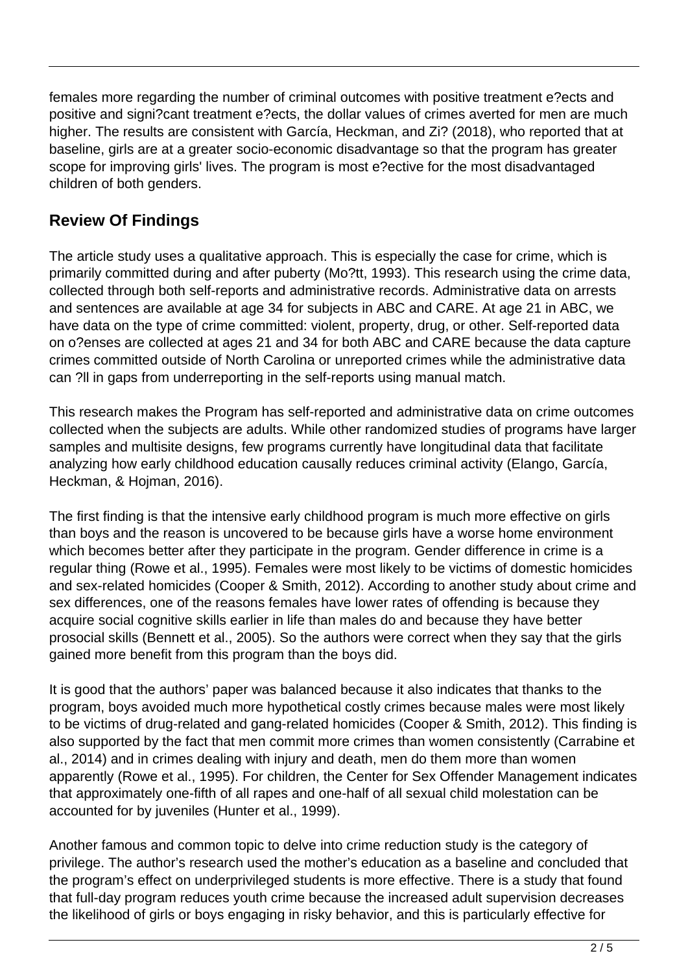females more regarding the number of criminal outcomes with positive treatment e?ects and positive and signi?cant treatment e?ects, the dollar values of crimes averted for men are much higher. The results are consistent with García, Heckman, and Zi? (2018), who reported that at baseline, girls are at a greater socio-economic disadvantage so that the program has greater scope for improving girls' lives. The program is most e?ective for the most disadvantaged children of both genders.

## **Review Of Findings**

The article study uses a qualitative approach. This is especially the case for crime, which is primarily committed during and after puberty (Mo?tt, 1993). This research using the crime data, collected through both self-reports and administrative records. Administrative data on arrests and sentences are available at age 34 for subjects in ABC and CARE. At age 21 in ABC, we have data on the type of crime committed: violent, property, drug, or other. Self-reported data on o?enses are collected at ages 21 and 34 for both ABC and CARE because the data capture crimes committed outside of North Carolina or unreported crimes while the administrative data can ?ll in gaps from underreporting in the self-reports using manual match.

This research makes the Program has self-reported and administrative data on crime outcomes collected when the subjects are adults. While other randomized studies of programs have larger samples and multisite designs, few programs currently have longitudinal data that facilitate analyzing how early childhood education causally reduces criminal activity (Elango, García, Heckman, & Hojman, 2016).

The first finding is that the intensive early childhood program is much more effective on girls than boys and the reason is uncovered to be because girls have a worse home environment which becomes better after they participate in the program. Gender difference in crime is a regular thing (Rowe et al., 1995). Females were most likely to be victims of domestic homicides and sex-related homicides (Cooper & Smith, 2012). According to another study about crime and sex differences, one of the reasons females have lower rates of offending is because they acquire social cognitive skills earlier in life than males do and because they have better prosocial skills (Bennett et al., 2005). So the authors were correct when they say that the girls gained more benefit from this program than the boys did.

It is good that the authors' paper was balanced because it also indicates that thanks to the program, boys avoided much more hypothetical costly crimes because males were most likely to be victims of drug-related and gang-related homicides (Cooper & Smith, 2012). This finding is also supported by the fact that men commit more crimes than women consistently (Carrabine et al., 2014) and in crimes dealing with injury and death, men do them more than women apparently (Rowe et al., 1995). For children, the Center for Sex Offender Management indicates that approximately one-fifth of all rapes and one-half of all sexual child molestation can be accounted for by juveniles (Hunter et al., 1999).

Another famous and common topic to delve into crime reduction study is the category of privilege. The author's research used the mother's education as a baseline and concluded that the program's effect on underprivileged students is more effective. There is a study that found that full-day program reduces youth crime because the increased adult supervision decreases the likelihood of girls or boys engaging in risky behavior, and this is particularly effective for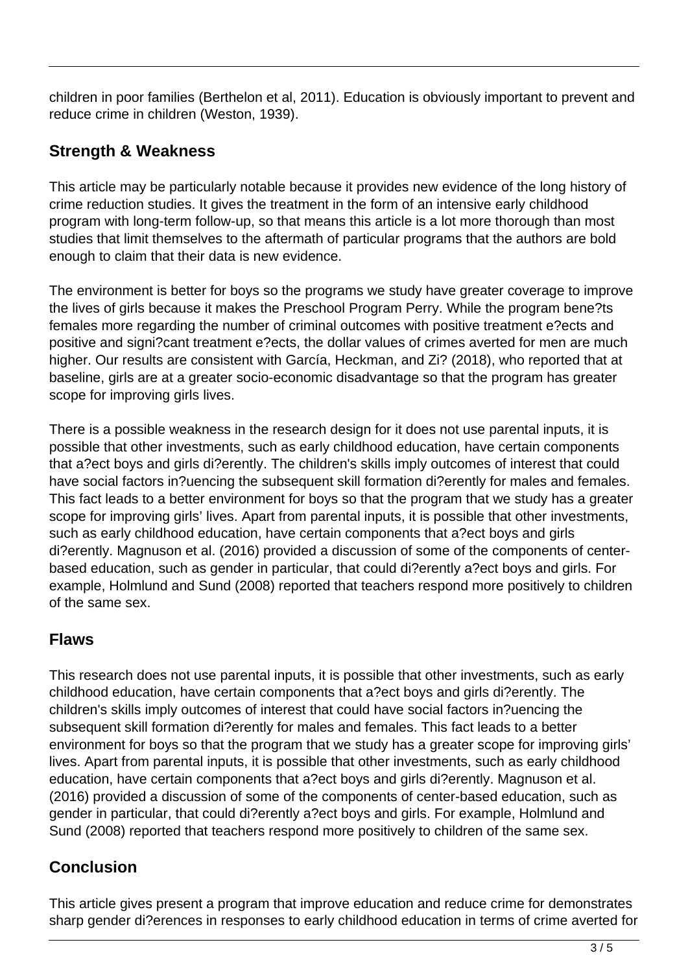children in poor families (Berthelon et al, 2011). Education is obviously important to prevent and reduce crime in children (Weston, 1939).

### **Strength & Weakness**

This article may be particularly notable because it provides new evidence of the long history of crime reduction studies. It gives the treatment in the form of an intensive early childhood program with long-term follow-up, so that means this article is a lot more thorough than most studies that limit themselves to the aftermath of particular programs that the authors are bold enough to claim that their data is new evidence.

The environment is better for boys so the programs we study have greater coverage to improve the lives of girls because it makes the Preschool Program Perry. While the program bene?ts females more regarding the number of criminal outcomes with positive treatment e?ects and positive and signi?cant treatment e?ects, the dollar values of crimes averted for men are much higher. Our results are consistent with García, Heckman, and Zi? (2018), who reported that at baseline, girls are at a greater socio-economic disadvantage so that the program has greater scope for improving girls lives.

There is a possible weakness in the research design for it does not use parental inputs, it is possible that other investments, such as early childhood education, have certain components that a?ect boys and girls di?erently. The children's skills imply outcomes of interest that could have social factors in?uencing the subsequent skill formation di?erently for males and females. This fact leads to a better environment for boys so that the program that we study has a greater scope for improving girls' lives. Apart from parental inputs, it is possible that other investments, such as early childhood education, have certain components that a?ect boys and girls di?erently. Magnuson et al. (2016) provided a discussion of some of the components of centerbased education, such as gender in particular, that could di?erently a?ect boys and girls. For example, Holmlund and Sund (2008) reported that teachers respond more positively to children of the same sex.

#### **Flaws**

This research does not use parental inputs, it is possible that other investments, such as early childhood education, have certain components that a?ect boys and girls di?erently. The children's skills imply outcomes of interest that could have social factors in?uencing the subsequent skill formation di?erently for males and females. This fact leads to a better environment for boys so that the program that we study has a greater scope for improving girls' lives. Apart from parental inputs, it is possible that other investments, such as early childhood education, have certain components that a?ect boys and girls di?erently. Magnuson et al. (2016) provided a discussion of some of the components of center-based education, such as gender in particular, that could di?erently a?ect boys and girls. For example, Holmlund and Sund (2008) reported that teachers respond more positively to children of the same sex.

## **Conclusion**

This article gives present a program that improve education and reduce crime for demonstrates sharp gender di?erences in responses to early childhood education in terms of crime averted for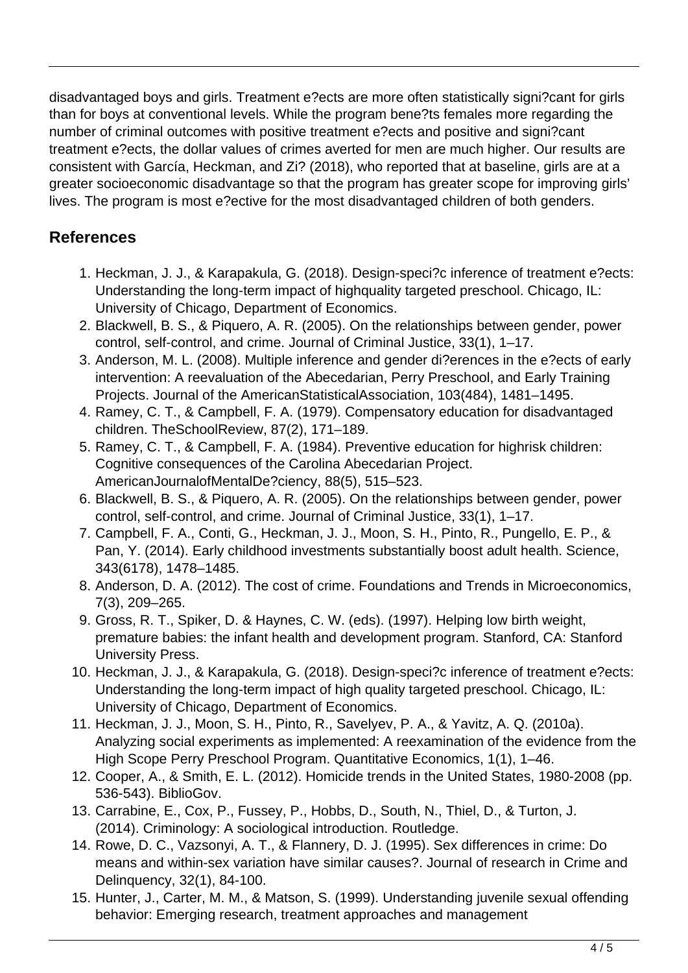disadvantaged boys and girls. Treatment e?ects are more often statistically signi?cant for girls than for boys at conventional levels. While the program bene?ts females more regarding the number of criminal outcomes with positive treatment e?ects and positive and signi?cant treatment e?ects, the dollar values of crimes averted for men are much higher. Our results are consistent with García, Heckman, and Zi? (2018), who reported that at baseline, girls are at a greater socioeconomic disadvantage so that the program has greater scope for improving girls' lives. The program is most e?ective for the most disadvantaged children of both genders.

### **References**

- 1. Heckman, J. J., & Karapakula, G. (2018). Design-speci?c inference of treatment e?ects: Understanding the long-term impact of highquality targeted preschool. Chicago, IL: University of Chicago, Department of Economics.
- 2. Blackwell, B. S., & Piquero, A. R. (2005). On the relationships between gender, power control, self-control, and crime. Journal of Criminal Justice, 33(1), 1–17.
- 3. Anderson, M. L. (2008). Multiple inference and gender di?erences in the e?ects of early intervention: A reevaluation of the Abecedarian, Perry Preschool, and Early Training Projects. Journal of the AmericanStatisticalAssociation, 103(484), 1481–1495.
- 4. Ramey, C. T., & Campbell, F. A. (1979). Compensatory education for disadvantaged children. TheSchoolReview, 87(2), 171–189.
- 5. Ramey, C. T., & Campbell, F. A. (1984). Preventive education for highrisk children: Cognitive consequences of the Carolina Abecedarian Project. AmericanJournalofMentalDe?ciency, 88(5), 515–523.
- 6. Blackwell, B. S., & Piquero, A. R. (2005). On the relationships between gender, power control, self-control, and crime. Journal of Criminal Justice, 33(1), 1–17.
- 7. Campbell, F. A., Conti, G., Heckman, J. J., Moon, S. H., Pinto, R., Pungello, E. P., & Pan, Y. (2014). Early childhood investments substantially boost adult health. Science, 343(6178), 1478–1485.
- 8. Anderson, D. A. (2012). The cost of crime. Foundations and Trends in Microeconomics, 7(3), 209–265.
- 9. Gross, R. T., Spiker, D. & Haynes, C. W. (eds). (1997). Helping low birth weight, premature babies: the infant health and development program. Stanford, CA: Stanford University Press.
- 10. Heckman, J. J., & Karapakula, G. (2018). Design-speci?c inference of treatment e?ects: Understanding the long-term impact of high quality targeted preschool. Chicago, IL: University of Chicago, Department of Economics.
- 11. Heckman, J. J., Moon, S. H., Pinto, R., Savelyev, P. A., & Yavitz, A. Q. (2010a). Analyzing social experiments as implemented: A reexamination of the evidence from the High Scope Perry Preschool Program. Quantitative Economics, 1(1), 1–46.
- 12. Cooper, A., & Smith, E. L. (2012). Homicide trends in the United States, 1980-2008 (pp. 536-543). BiblioGov.
- 13. Carrabine, E., Cox, P., Fussey, P., Hobbs, D., South, N., Thiel, D., & Turton, J. (2014). Criminology: A sociological introduction. Routledge.
- 14. Rowe, D. C., Vazsonyi, A. T., & Flannery, D. J. (1995). Sex differences in crime: Do means and within-sex variation have similar causes?. Journal of research in Crime and Delinquency, 32(1), 84-100.
- 15. Hunter, J., Carter, M. M., & Matson, S. (1999). Understanding juvenile sexual offending behavior: Emerging research, treatment approaches and management